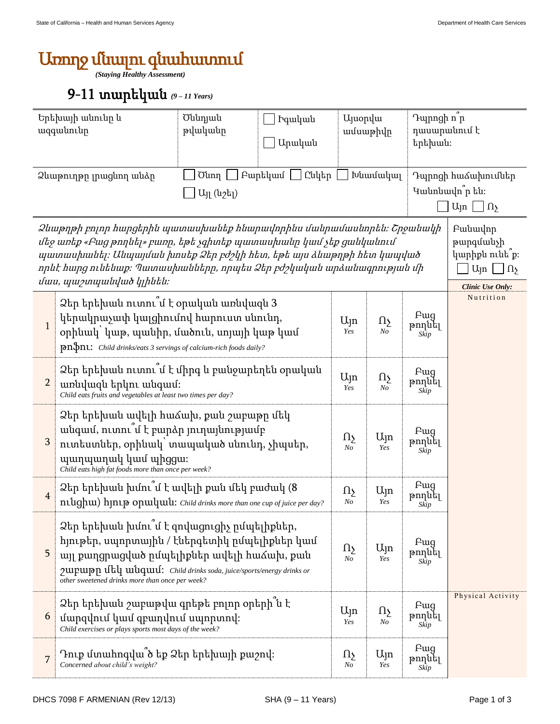## Առողջ մնալու գնահատում

*(Staying Healthy Assessment)*

## 9-11 տարեկան *(9 – 11 Years)*

| Երեխայի անունը և<br>ազգանունը                                                                                                                                                                                                                                                                                           |                                                                                                                                                                                                                           | Ծննդյան<br><b>Pquluu</b> u<br>թվականը<br>Արական                                                                                                                                                                                                                                                                                                             |                |                               | <b>U</b> juopyu<br>ամսաթիվը |                                                                          | Դպրոցի ո <sup>ր</sup><br>դասարանում է<br>երեխան։                                          |  |  |  |
|-------------------------------------------------------------------------------------------------------------------------------------------------------------------------------------------------------------------------------------------------------------------------------------------------------------------------|---------------------------------------------------------------------------------------------------------------------------------------------------------------------------------------------------------------------------|-------------------------------------------------------------------------------------------------------------------------------------------------------------------------------------------------------------------------------------------------------------------------------------------------------------------------------------------------------------|----------------|-------------------------------|-----------------------------|--------------------------------------------------------------------------|-------------------------------------------------------------------------------------------|--|--|--|
| Puptyuu  <br>Ընկեր<br>Ծնող<br>Ձևաթուղթը լրացնող անձը<br>Այլ (նշել)                                                                                                                                                                                                                                                      |                                                                                                                                                                                                                           |                                                                                                                                                                                                                                                                                                                                                             |                |                               | Խնամակալ                    | Դպրոցի հաձախումներ<br>Կանոնավո՞ր են։<br>$U_{\text{in}} \bigsqcup \Omega$ |                                                                                           |  |  |  |
| Ձևաթղթի բոլոր հարցերին պատասխանեք հնարավորինս մանրամասնորեն։ Շրջանակի<br>մեջ առեք «Բաց թողնել» բառը, եթե չգիտեք պատասխանը կամ չեք ցանկանում<br>պատասխանել։ Անպայման խոսեք Ձեր բժշկի հետ, եթե այս ձևաթղթի հետ կապված<br>որևէ հարց ունենաք։ Պատասխանները, որպես Ձեր բժշկական արձանագրության մի<br>մաս, պաշտպանված կլինեն։ |                                                                                                                                                                                                                           |                                                                                                                                                                                                                                                                                                                                                             |                |                               |                             |                                                                          | Pwuwulnn<br>թարգմանչի<br>կարիքն ունե՞ք։<br>$U_{\parallel n}$ $\Box n$<br>Clinic Use Only: |  |  |  |
| $\mathbf{1}$                                                                                                                                                                                                                                                                                                            | $\rm 2$ եր երեխան ուտու $\degree$ մ է օրական առնվազն 3<br>կերակրաչափ կալցիումով հարուստ սնունդ,<br>օրինակ՝ կաթ, պանիր, մածուն, սոյայի կաթ կամ<br><b>pn\$n1:</b> Child drinks/eats 3 servings of calcium-rich foods daily? | $U_{\parallel}$ n<br>Yes                                                                                                                                                                                                                                                                                                                                    | Ωş<br>No       | Fwg<br>թողնել<br>Skip         | Nutrition                   |                                                                          |                                                                                           |  |  |  |
| $\overline{2}$                                                                                                                                                                                                                                                                                                          | Ձեր երեխան ուտու՞մ է միրգ և բանջարեղեն օրական<br>առնվազն երկու անգամ։<br>Child eats fruits and vegetables at least two times per day?                                                                                     | Ujn<br>Yes                                                                                                                                                                                                                                                                                                                                                  | $\Omega$<br>No | <b>F</b> ug<br>թողնել<br>Skip |                             |                                                                          |                                                                                           |  |  |  |
| 3                                                                                                                                                                                                                                                                                                                       | Ձեր երեխան ավելի հաձախ, քան շաբաթը մեկ<br>անգամ, ուտու մ է բարձր յուղայնությամբ<br>ուտեստներ, օրինակ՝ տապակած սնունդ, չիպսեր,<br>պաղպաղակ կամ պիցցա։<br>Child eats high fat foods more than once per week?                | Ωչ<br>N <sub>o</sub>                                                                                                                                                                                                                                                                                                                                        | Ujn<br>Yes     | Pug<br>թողնել<br>Skip         |                             |                                                                          |                                                                                           |  |  |  |
| $\overline{4}$                                                                                                                                                                                                                                                                                                          | Ձեր երեխան խմու՞մ է ավելի քան մեկ բաժակ (8<br>ntughu) hjntp opuluuti: Child drinks more than one cup of juice per day?                                                                                                    | Ωչ<br>No                                                                                                                                                                                                                                                                                                                                                    | Ujn<br>Yes     | <b>F</b> ug<br>թողնել<br>Skip |                             |                                                                          |                                                                                           |  |  |  |
| 5                                                                                                                                                                                                                                                                                                                       |                                                                                                                                                                                                                           | Ձեր երեխան խմու մ է զովացուցիչ ըմպելիքներ,<br>հյութեր, սպորտային / էներգետիկ ըմպելիքներ կամ<br><b>F</b> ug<br>$U_{\parallel}$ n<br>Ωչ<br>թողնել<br>այլ քաղցրացված ըմպելիքներ ավելի հաձախ, քան<br>N <sub>o</sub><br>Yes<br>Skip<br>γιμμητη ιίτη μιάριωτ: Child drinks soda, juice/sports/energy drinks or<br>other sweetened drinks more than once per week? |                |                               |                             |                                                                          |                                                                                           |  |  |  |
| 6                                                                                                                                                                                                                                                                                                                       | Ձեր երեխան շաբաթվա գրեթե բոլոր օրերի ն է<br>մարզվում կամ զբաղվում սպորտով։<br>Child exercises or plays sports most days of the week?                                                                                      |                                                                                                                                                                                                                                                                                                                                                             |                | $U_{\parallel}$ n<br>Yes      | $\Omega$<br>No              | <b>F</b> ug<br>թողնել<br>Skip                                            | Physical Activity                                                                         |  |  |  |
| 7                                                                                                                                                                                                                                                                                                                       | Դուք մտահոգվա՞ծ եք Ձեր երեխայի քաշով։<br>Concerned about child's weight?                                                                                                                                                  | $\Omega$<br>No                                                                                                                                                                                                                                                                                                                                              | Ujn<br>Yes     | Fwg<br>թողնել<br>Skip         |                             |                                                                          |                                                                                           |  |  |  |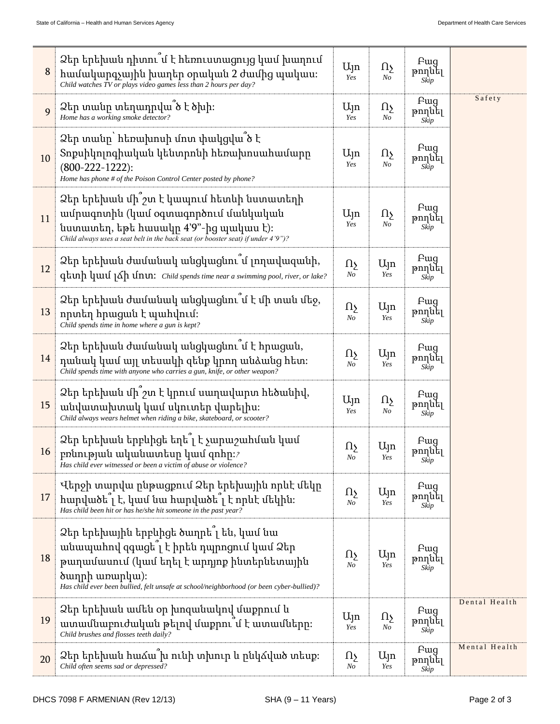| 8  | Ձեր երեխան դիտու՞մ է հեռուստացույց կամ խաղում<br>համակարգչային խաղեր օրական 2 ժամից պակաս։<br>Child watches TV or plays video games less than 2 hours per day?                                                                                                         | Ujn<br>Yes           | Ωş<br>N <sub>O</sub>                | <b>F</b> ug<br>թողնել<br>Skip |               |
|----|------------------------------------------------------------------------------------------------------------------------------------------------------------------------------------------------------------------------------------------------------------------------|----------------------|-------------------------------------|-------------------------------|---------------|
| 9  | Ձեր տանը տեղադրվա՞ծ է ծխի։<br>Home has a working smoke detector?                                                                                                                                                                                                       | Ujn<br>Yes           | Ωչ<br>$N o$                         | Pwg<br>թողնել<br>Skip         | Safety        |
| 10 | Ձեր տանը` հեռախոսի մոտ փակցվա՞ծ է<br>Տոքսիկոլոգիական կենտրոնի հեռախոսահամարը<br>$(800-222-1222)$ :<br>Home has phone # of the Poison Control Center posted by phone?                                                                                                   |                      | ηş<br>N <sub>O</sub>                | <b>F</b> ug<br>թողնել<br>Skip |               |
| 11 | Ձեր երեխան մի ՞շտ է կապում հետևի նստատեղի<br>ամրագոտին (կամ օգտագործում մանկական<br>նստատեղ, եթե հասակը 4'9"-ից պակաս է)։<br>Child always uses a seat belt in the back seat (or booster seat) if under $4'9'$ .                                                        |                      | ηş<br>N <sub>O</sub>                | <b>F</b> ug<br>թողնել<br>Skip |               |
| 12 | Ձեր երեխան ժամանակ անցկացնու՞մ լողավազանի,<br>qtuh quul 16h unu: Child spends time near a swimming pool, river, or lake?                                                                                                                                               |                      | Ujn<br>Yes                          | Fwq<br>թողնել<br>Skip         |               |
| 13 | Ձեր երեխան ժամանակ անցկացնու՞մ է մի տան մեջ,<br>որտեղ հրացան է պահվում։<br>Child spends time in home where a gun is kept?                                                                                                                                              |                      | Ujn<br>Yes                          | <b>F</b> ug<br>թողնել<br>Skip |               |
| 14 | Ձեր երեխան ժամանակ անցկացնու՞մ է հրացան,<br>դանակ կամ այլ տեսակի զենք կրող անձանց հետ։<br>Child spends time with anyone who carries a gun, knife, or other weapon?                                                                                                     |                      | Ալո<br>Yes                          | <b>F</b> ug<br>թողնել<br>Skip |               |
| 15 | Ձեր երեխան մի՞շտ է կրում սաղավարտ հեծանիվ,<br>անվատախտակ կամ սկուտեր վարելիս։<br>Child always wears helmet when riding a bike, skateboard, or scooter?                                                                                                                 |                      | $\Omega_{\Sigma}$<br>N <sub>O</sub> | <b>F</b> ug<br>թողնել<br>Skip |               |
| 16 | Ձեր երեխան երբևիցե եղե՞լ է չարաշահման կամ<br>բռնության ականատեսը կամ զոհը: $\imath$<br>Has child ever witnessed or been a victim of abuse or violence?                                                                                                                 |                      | Ujn<br>Yes                          | <b>F</b> ug<br>թողնել<br>Skip |               |
| 17 | Վերջի տարվա ընթացքում Ձեր երեխային որևէ մեկը<br>hարվածե՞լ է, կամ նա հարվածե՞լ է որևէ մեկին։<br>Has child been hit or has he/she hit someone in the past year?                                                                                                          | $\Omega$<br>$N_{O}$  | $U_{\parallel}$ n<br>Yes            | <b>F</b> ug<br>թողնել<br>Skip |               |
| 18 | Ձեր երեխային երբևիցե ծաղրե՞լ են, կամ նա<br>անապահով զգացե՞լ է իրեն դպրոցում կամ Ձեր<br>թաղամասում (կամ եղել է արդյոք ինտերնետային<br><b><i><u>ownph</u></i></b> winwplwed:<br>Has child ever been bullied, felt unsafe at school/neighborhood (or been cyber-bullied)? | Ωу<br>N <sub>O</sub> | Ujn<br>Yes                          | Fwg<br>թողնել<br>Skip         |               |
| 19 | Ձեր երեխան ամեն օր խոզանակով մաքրում և<br>ատամնաբուժական թելով մաքրու՞մ է ատամները։<br>Child brushes and flosses teeth daily?                                                                                                                                          | Ujn<br>Yes           | Ωչ<br>No                            | Pwg<br>թողնել<br>Skip         | Dental Health |
| 20 | Ձեր երեխան հաձա <sup>՞</sup> խ ունի տխուր և ընկձված տեսք։<br>Child often seems sad or depressed?                                                                                                                                                                       | Ωу<br>No             | $U_{\parallel}$ n<br>Yes            | <b>F</b> ug<br>թողնել<br>Skip | Mental Health |